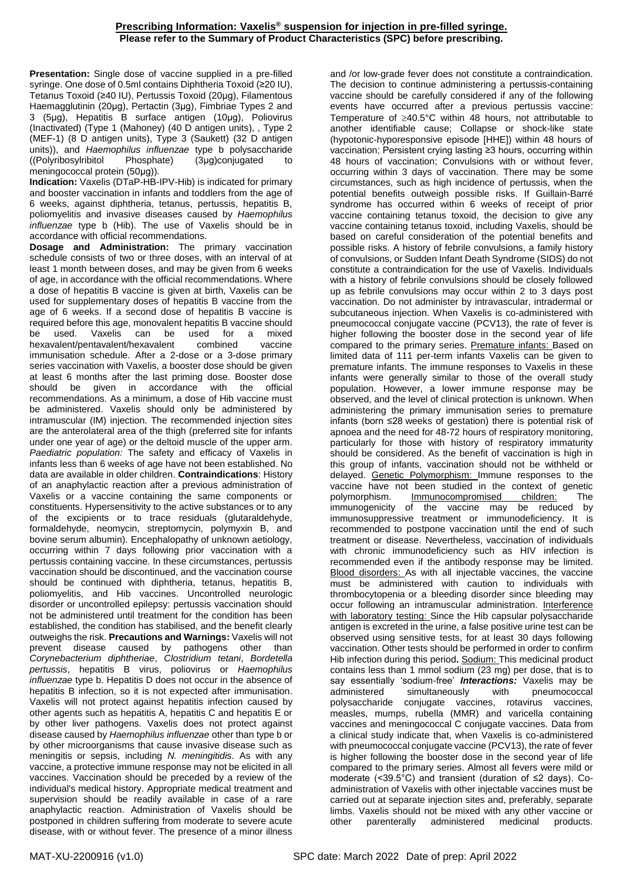## **Prescribing Information: Vaxelis® suspension for injection in pre-filled syringe. Please refer to the Summary of Product Characteristics (SPC) before prescribing.**

**Presentation:** Single dose of vaccine supplied in a pre-filled syringe. One dose of 0.5ml contains Diphtheria Toxoid (≥20 IU), Tetanus Toxoid (≥40 IU), Pertussis Toxoid (20μg), Filamentous Haemagglutinin (20μg), Pertactin (3μg), Fimbriae Types 2 and 3 (5μg), Hepatitis B surface antigen (10μg), Poliovirus (Inactivated) (Type 1 (Mahoney) (40 D antigen units), , Type 2 (MEF-1) (8 D antigen units), Type 3 (Saukett) (32 D antigen units)), and *Haemophilus influenzae* type b polysaccharide ((Polyribosylribitol Phosphate) (3μg)conjugated to meningococcal protein (50μg)).

**Indication:** Vaxelis (DTaP-HB-IPV-Hib) is indicated for primary and booster vaccination in infants and toddlers from the age of 6 weeks, against diphtheria, tetanus, pertussis, hepatitis B, poliomyelitis and invasive diseases caused by *Haemophilus influenzae* type b (Hib). The use of Vaxelis should be in accordance with official recommendations.

**Dosage and Administration:** The primary vaccination schedule consists of two or three doses, with an interval of at least 1 month between doses, and may be given from 6 weeks of age, in accordance with the official recommendations. Where a dose of hepatitis B vaccine is given at birth, Vaxelis can be used for supplementary doses of hepatitis B vaccine from the age of 6 weeks. If a second dose of hepatitis B vaccine is required before this age, monovalent hepatitis B vaccine should be used. Vaxelis can be used for a mixed<br>hexavalent/pentavalent/hexavalent combined vaccine hexavalent/pentavalent/hexavalent combined vaccine immunisation schedule. After a 2-dose or a 3-dose primary series vaccination with Vaxelis, a booster dose should be given at least 6 months after the last priming dose. Booster dose should be given in accordance with the official recommendations. As a minimum, a dose of Hib vaccine must be administered. Vaxelis should only be administered by intramuscular (IM) injection. The recommended injection sites are the anterolateral area of the thigh (preferred site for infants under one year of age) or the deltoid muscle of the upper arm. *Paediatric population:* The safety and efficacy of Vaxelis in infants less than 6 weeks of age have not been established. No data are available in older children. **Contraindications**: History of an anaphylactic reaction after a previous administration of Vaxelis or a vaccine containing the same components or constituents. Hypersensitivity to the active substances or to any of the excipients or to trace residuals (glutaraldehyde, formaldehyde, neomycin, streptomycin, polymyxin B, and bovine serum albumin). Encephalopathy of unknown aetiology, occurring within 7 days following prior vaccination with a pertussis containing vaccine. In these circumstances, pertussis vaccination should be discontinued, and the vaccination course should be continued with diphtheria, tetanus, hepatitis B, poliomyelitis, and Hib vaccines. Uncontrolled neurologic disorder or uncontrolled epilepsy: pertussis vaccination should not be administered until treatment for the condition has been established, the condition has stabilised, and the benefit clearly outweighs the risk. **Precautions and Warnings:** Vaxelis will not prevent disease caused by pathogens other than *Corynebacterium diphtheriae*, *Clostridium tetani*, *Bordetella pertussis*, hepatitis B virus, poliovirus or *Haemophilus influenzae* type b. Hepatitis D does not occur in the absence of hepatitis B infection, so it is not expected after immunisation. Vaxelis will not protect against hepatitis infection caused by other agents such as hepatitis A, hepatitis C and hepatitis E or by other liver pathogens. Vaxelis does not protect against disease caused by *Haemophilus influenzae* other than type b or by other microorganisms that cause invasive disease such as meningitis or sepsis, including *N. meningitidis*. As with any vaccine, a protective immune response may not be elicited in all vaccines. Vaccination should be preceded by a review of the individual's medical history. Appropriate medical treatment and supervision should be readily available in case of a rare anaphylactic reaction. Administration of Vaxelis should be postponed in children suffering from moderate to severe acute disease, with or without fever. The presence of a minor illness

and /or low-grade fever does not constitute a contraindication. The decision to continue administering a pertussis-containing vaccine should be carefully considered if any of the following events have occurred after a previous pertussis vaccine: Temperature of  $\geq 40.5^{\circ}$ C within 48 hours, not attributable to another identifiable cause; Collapse or shock-like state (hypotonic-hyporesponsive episode [HHE]) within 48 hours of vaccination; Persistent crying lasting ≥3 hours, occurring within 48 hours of vaccination; Convulsions with or without fever, occurring within 3 days of vaccination. There may be some circumstances, such as high incidence of pertussis, when the potential benefits outweigh possible risks. If Guillain-Barré syndrome has occurred within 6 weeks of receipt of prior vaccine containing tetanus toxoid, the decision to give any vaccine containing tetanus toxoid, including Vaxelis, should be based on careful consideration of the potential benefits and possible risks. A history of febrile convulsions, a family history of convulsions, or Sudden Infant Death Syndrome (SIDS) do not constitute a contraindication for the use of Vaxelis. Individuals with a history of febrile convulsions should be closely followed up as febrile convulsions may occur within 2 to 3 days post vaccination. Do not administer by intravascular, intradermal or subcutaneous injection. When Vaxelis is co-administered with pneumococcal conjugate vaccine (PCV13), the rate of fever is higher following the booster dose in the second year of life compared to the primary series. Premature infants: Based on limited data of 111 per-term infants Vaxelis can be given to premature infants. The immune responses to Vaxelis in these infants were generally similar to those of the overall study population. However, a lower immune response may be observed, and the level of clinical protection is unknown. When administering the primary immunisation series to premature infants (born ≤28 weeks of gestation) there is potential risk of apnoea and the need for 48-72 hours of respiratory monitoring, particularly for those with history of respiratory immaturity should be considered. As the benefit of vaccination is high in this group of infants, vaccination should not be withheld or delayed. Genetic Polymorphism: Immune responses to the vaccine have not been studied in the context of genetic polymorphism. Immunocompromised children: The immunogenicity of the vaccine may be reduced by immunosuppressive treatment or immunodeficiency. It is recommended to postpone vaccination until the end of such treatment or disease. Nevertheless, vaccination of individuals with chronic immunodeficiency such as HIV infection is recommended even if the antibody response may be limited. Blood disorders: As with all injectable vaccines, the vaccine must be administered with caution to individuals with thrombocytopenia or a bleeding disorder since bleeding may occur following an intramuscular administration. Interference with laboratory testing: Since the Hib capsular polysaccharide antigen is excreted in the urine, a false positive urine test can be observed using sensitive tests, for at least 30 days following vaccination. Other tests should be performed in order to confirm Hib infection during this period**.** Sodium: This medicinal product contains less than 1 mmol sodium  $(23 \text{ mg})$  per dose, that is to say essentially 'sodium-free' *Interactions:* Vaxelis may be administered simultaneously with pneumococcal polysaccharide conjugate vaccines, rotavirus vaccines, measles, mumps, rubella (MMR) and varicella containing vaccines and meningococcal C conjugate vaccines. Data from a clinical study indicate that, when Vaxelis is co-administered with pneumococcal conjugate vaccine (PCV13), the rate of fever is higher following the booster dose in the second year of life compared to the primary series. Almost all fevers were mild or moderate (<39.5°C) and transient (duration of ≤2 days). Coadministration of Vaxelis with other injectable vaccines must be carried out at separate injection sites and, preferably, separate limbs. Vaxelis should not be mixed with any other vaccine or other parenterally administered medicinal products.